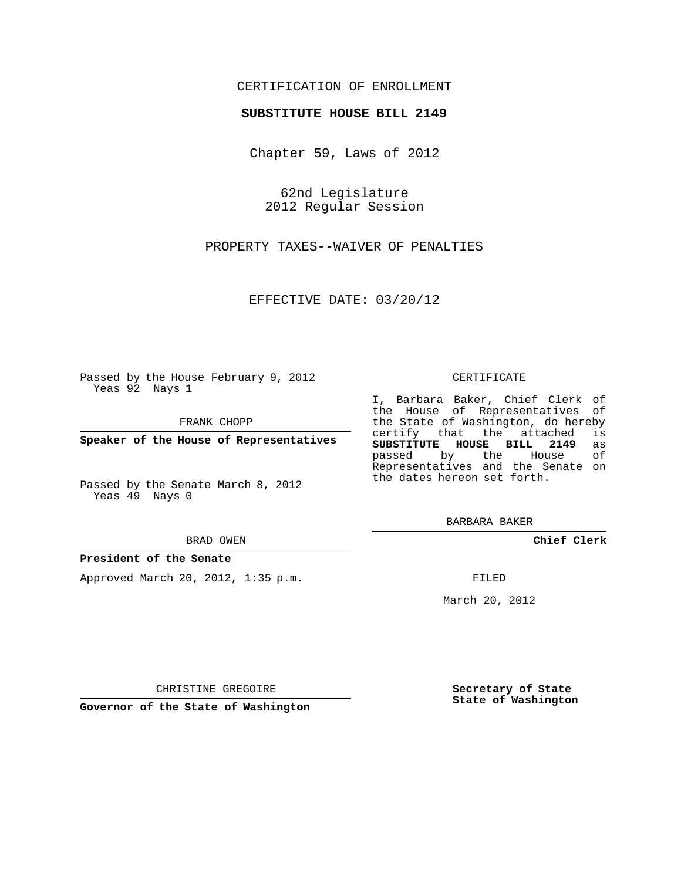### CERTIFICATION OF ENROLLMENT

#### **SUBSTITUTE HOUSE BILL 2149**

Chapter 59, Laws of 2012

62nd Legislature 2012 Regular Session

PROPERTY TAXES--WAIVER OF PENALTIES

EFFECTIVE DATE: 03/20/12

Passed by the House February 9, 2012 Yeas 92 Nays 1

FRANK CHOPP

**Speaker of the House of Representatives**

Passed by the Senate March 8, 2012 Yeas 49 Nays 0

#### BRAD OWEN

#### **President of the Senate**

Approved March 20, 2012, 1:35 p.m.

#### CERTIFICATE

I, Barbara Baker, Chief Clerk of the House of Representatives of the State of Washington, do hereby<br>certify that the attached is certify that the attached **SUBSTITUTE HOUSE BILL 2149** as passed by the House of Representatives and the Senate on the dates hereon set forth.

BARBARA BAKER

**Chief Clerk**

FILED

March 20, 2012

**Secretary of State State of Washington**

CHRISTINE GREGOIRE

**Governor of the State of Washington**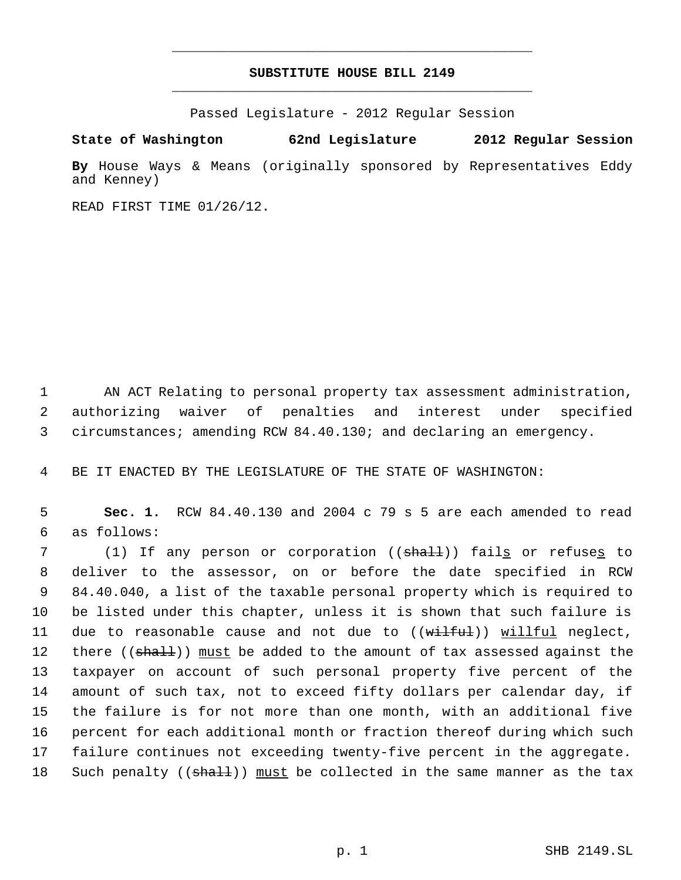## **SUBSTITUTE HOUSE BILL 2149** \_\_\_\_\_\_\_\_\_\_\_\_\_\_\_\_\_\_\_\_\_\_\_\_\_\_\_\_\_\_\_\_\_\_\_\_\_\_\_\_\_\_\_\_\_

\_\_\_\_\_\_\_\_\_\_\_\_\_\_\_\_\_\_\_\_\_\_\_\_\_\_\_\_\_\_\_\_\_\_\_\_\_\_\_\_\_\_\_\_\_

Passed Legislature - 2012 Regular Session

**State of Washington 62nd Legislature 2012 Regular Session**

**By** House Ways & Means (originally sponsored by Representatives Eddy and Kenney)

READ FIRST TIME 01/26/12.

 1 AN ACT Relating to personal property tax assessment administration, 2 authorizing waiver of penalties and interest under specified 3 circumstances; amending RCW 84.40.130; and declaring an emergency.

4 BE IT ENACTED BY THE LEGISLATURE OF THE STATE OF WASHINGTON:

 5 **Sec. 1.** RCW 84.40.130 and 2004 c 79 s 5 are each amended to read 6 as follows:

7 (1) If any person or corporation ((<del>shall</del>)) fail<u>s</u> or refuse<u>s</u> to deliver to the assessor, on or before the date specified in RCW 84.40.040, a list of the taxable personal property which is required to be listed under this chapter, unless it is shown that such failure is 11 due to reasonable cause and not due to ((wilful)) willful neglect, 12 there ((shall)) must be added to the amount of tax assessed against the taxpayer on account of such personal property five percent of the amount of such tax, not to exceed fifty dollars per calendar day, if the failure is for not more than one month, with an additional five percent for each additional month or fraction thereof during which such failure continues not exceeding twenty-five percent in the aggregate. 18 Such penalty ((shall)) must be collected in the same manner as the tax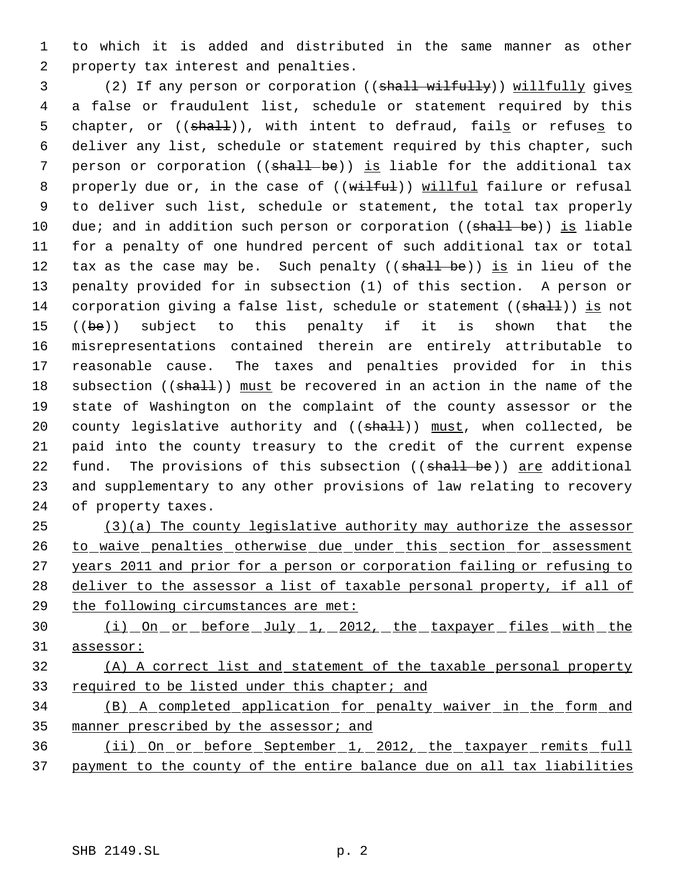to which it is added and distributed in the same manner as other property tax interest and penalties.

3 (2) If any person or corporation ((shall wilfully)) willfully gives a false or fraudulent list, schedule or statement required by this 5 chapter, or ((shall)), with intent to defraud, fails or refuses to deliver any list, schedule or statement required by this chapter, such 7 person or corporation (( $shall-be$ )) is liable for the additional tax 8 properly due or, in the case of ((wilful)) willful failure or refusal to deliver such list, schedule or statement, the total tax properly 10 due; and in addition such person or corporation ((shall be)) is liable for a penalty of one hundred percent of such additional tax or total 12 tax as the case may be. Such penalty ((shall be)) is in lieu of the penalty provided for in subsection (1) of this section. A person or 14 corporation giving a false list, schedule or statement (( $\frac{1}{3}$ )) is not 15 ((be)) subject to this penalty if it is shown that the misrepresentations contained therein are entirely attributable to reasonable cause. The taxes and penalties provided for in this 18 subsection ((shall)) must be recovered in an action in the name of the state of Washington on the complaint of the county assessor or the 20 county legislative authority and  $((\text{shall}))$  must, when collected, be paid into the county treasury to the credit of the current expense 22 fund. The provisions of this subsection ((shall be)) are additional and supplementary to any other provisions of law relating to recovery of property taxes.

 (3)(a) The county legislative authority may authorize the assessor 26 to waive penalties otherwise due under this section for assessment years 2011 and prior for a person or corporation failing or refusing to deliver to the assessor a list of taxable personal property, if all of the following circumstances are met:

30 (i) On or before July 1, 2012, the taxpayer files with the assessor:

# (A) A correct list and statement of the taxable personal property required to be listed under this chapter; and

 (B) A completed application for penalty waiver in the form and 35 manner prescribed by the assessor; and

 (ii) On or before September 1, 2012, the taxpayer remits full payment to the county of the entire balance due on all tax liabilities